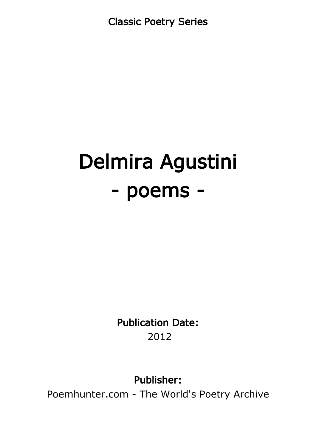Classic Poetry Series

# Delmira Agustini - poems -

Publication Date: 2012

Publisher:

Poemhunter.com - The World's Poetry Archive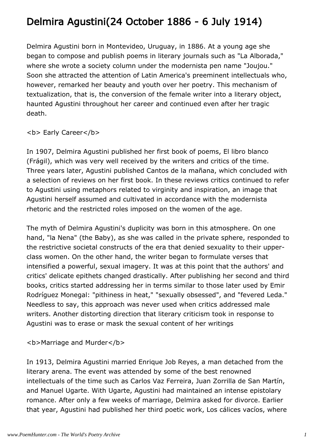# Delmira Agustini(24 October 1886 - 6 July 1914)

Delmira Agustini born in Montevideo, Uruguay, in 1886. At a young age she began to compose and publish poems in literary journals such as "La Alborada," where she wrote a society column under the modernista pen name "Joujou." Soon she attracted the attention of Latin America's preeminent intellectuals who, however, remarked her beauty and youth over her poetry. This mechanism of textualization, that is, the conversion of the female writer into a literary object, haunted Agustini throughout her career and continued even after her tragic death.

#### **<b> Early Career</b>**

In 1907, Delmira Agustini published her first book of poems, El libro blanco (Frágil), which was very well received by the writers and critics of the time. Three years later, Agustini published Cantos de la mañana, which concluded with a selection of reviews on her first book. In these reviews critics continued to refer to Agustini using metaphors related to virginity and inspiration, an image that Agustini herself assumed and cultivated in accordance with the modernista rhetoric and the restricted roles imposed on the women of the age.

The myth of Delmira Agustini's duplicity was born in this atmosphere. On one hand, "la Nena" (the Baby), as she was called in the private sphere, responded to the restrictive societal constructs of the era that denied sexuality to their upperclass women. On the other hand, the writer began to formulate verses that intensified a powerful, sexual imagery. It was at this point that the authors' and critics' delicate epithets changed drastically. After publishing her second and third books, critics started addressing her in terms similar to those later used by Emir Rodríguez Monegal: "pithiness in heat," "sexually obsessed", and "fevered Leda." Needless to say, this approach was never used when critics addressed male writers. Another distorting direction that literary criticism took in response to Agustini was to erase or mask the sexual content of her writings

<b>Marriage and Murder</b>

In 1913, Delmira Agustini married Enrique Job Reyes, a man detached from the literary arena. The event was attended by some of the best renowned intellectuals of the time such as Carlos Vaz Ferreira, Juan Zorrilla de San Martín, and Manuel Ugarte. With Ugarte, Agustini had maintained an intense epistolary romance. After only a few weeks of marriage, Delmira asked for divorce. Earlier that year, Agustini had published her third poetic work, Los cálices vacíos, where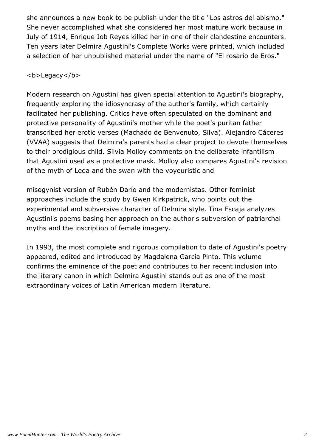she announces a new book to be publish under the title "Los astros del abismo." She never accomplished what she considered her most mature work because in July of 1914, Enrique Job Reyes killed her in one of their clandestine encounters. Ten years later Delmira Agustini's Complete Works were printed, which included a selection of her unpublished material under the name of "El rosario de Eros."

#### <b>Legacy</b>

Modern research on Agustini has given special attention to Agustini's biography, frequently exploring the idiosyncrasy of the author's family, which certainly facilitated her publishing. Critics have often speculated on the dominant and protective personality of Agustini's mother while the poet's puritan father transcribed her erotic verses (Machado de Benvenuto, Silva). Alejandro Cáceres (VVAA) suggests that Delmira's parents had a clear project to devote themselves to their prodigious child. Silvia Molloy comments on the deliberate infantilism that Agustini used as a protective mask. Molloy also compares Agustini's revision of the myth of Leda and the swan with the voyeuristic and

misogynist version of Rubén Darío and the modernistas. Other feminist approaches include the study by Gwen Kirkpatrick, who points out the experimental and subversive character of Delmira style. Tina Escaja analyzes Agustini's poems basing her approach on the author's subversion of patriarchal myths and the inscription of female imagery.

In 1993, the most complete and rigorous compilation to date of Agustini's poetry appeared, edited and introduced by Magdalena García Pinto. This volume confirms the eminence of the poet and contributes to her recent inclusion into the literary canon in which Delmira Agustini stands out as one of the most extraordinary voices of Latin American modern literature.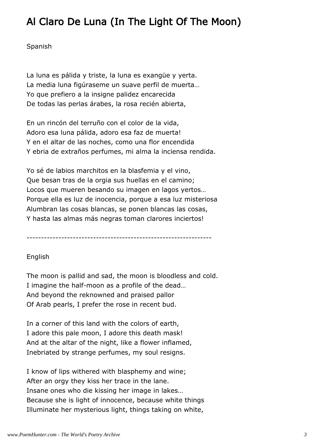# Al Claro De Luna (In The Light Of The Moon)

Spanish

La luna es pálida y triste, la luna es exangüe y yerta. La media luna figúraseme un suave perfil de muerta… Yo que prefiero a la insigne palidez encarecida De todas las perlas árabes, la rosa recién abierta,

En un rincón del terruño con el color de la vida, Adoro esa luna pálida, adoro esa faz de muerta! Y en el altar de las noches, como una flor encendida Y ebria de extraños perfumes, mi alma la inciensa rendida.

Yo sé de labios marchitos en la blasfemia y el vino, Que besan tras de la orgia sus huellas en el camino; Locos que mueren besando su imagen en lagos yertos… Porque ella es luz de inocencia, porque a esa luz misteriosa Alumbran las cosas blancas, se ponen blancas las cosas, Y hasta las almas más negras toman clarores inciertos!

----------------------------------------------------------------

#### English

The moon is pallid and sad, the moon is bloodless and cold. I imagine the half-moon as a profile of the dead… And beyond the reknowned and praised pallor Of Arab pearls, I prefer the rose in recent bud.

In a corner of this land with the colors of earth, I adore this pale moon, I adore this death mask! And at the altar of the night, like a flower inflamed, Inebriated by strange perfumes, my soul resigns.

I know of lips withered with blasphemy and wine; After an orgy they kiss her trace in the lane. Insane ones who die kissing her image in lakes… Because she is light of innocence, because white things Illuminate her mysterious light, things taking on white,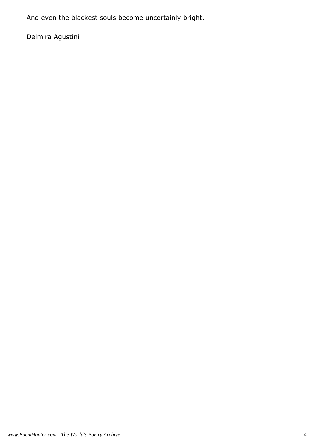And even the blackest souls become uncertainly bright.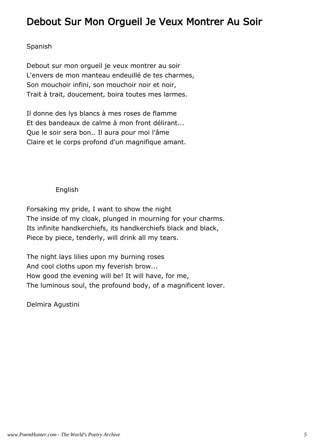### Debout Sur Mon Orgueil Je Veux Montrer Au Soir

#### Spanish

Debout sur mon orgueil je veux montrer au soir L'envers de mon manteau endeuillé de tes charmes, Son mouchoir infini, son mouchoir noir et noir, Trait à trait, doucement, boira toutes mes larmes.

Il donne des lys blancs à mes roses de flamme Et des bandeaux de calme à mon front délirant... Que le soir sera bon.. Il aura pour moi l'âme Claire et le corps profond d'un magnifique amant.

#### English

Forsaking my pride, I want to show the night The inside of my cloak, plunged in mourning for your charms. Its infinite handkerchiefs, its handkerchiefs black and black, Piece by piece, tenderly, will drink all my tears.

The night lays lilies upon my burning roses And cool cloths upon my feverish brow... How good the evening will be! It will have, for me, The luminous soul, the profound body, of a magnificent lover.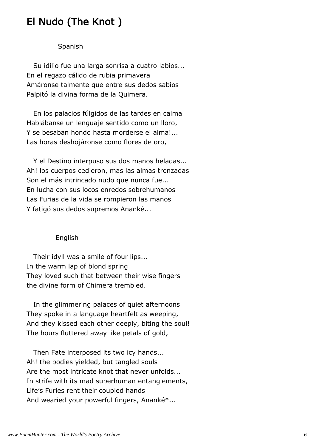### El Nudo (The Knot )

#### Spanish

 Su idilio fue una larga sonrisa a cuatro labios... En el regazo cálido de rubia primavera Amáronse talmente que entre sus dedos sabios Palpitó la divina forma de la Quimera.

 En los palacios fúlgidos de las tardes en calma Hablábanse un lenguaje sentido como un lloro, Y se besaban hondo hasta morderse el alma!... Las horas deshojáronse como flores de oro,

 Y el Destino interpuso sus dos manos heladas... Ah! los cuerpos cedieron, mas las almas trenzadas Son el más intrincado nudo que nunca fue... En lucha con sus locos enredos sobrehumanos Las Furias de la vida se rompieron las manos Y fatigó sus dedos supremos Ananké...

#### English

 Their idyll was a smile of four lips... In the warm lap of blond spring They loved such that between their wise fingers the divine form of Chimera trembled.

 In the glimmering palaces of quiet afternoons They spoke in a language heartfelt as weeping, And they kissed each other deeply, biting the soul! The hours fluttered away like petals of gold,

 Then Fate interposed its two icy hands... Ah! the bodies yielded, but tangled souls Are the most intricate knot that never unfolds... In strife with its mad superhuman entanglements, Life's Furies rent their coupled hands And wearied your powerful fingers, Ananké\*...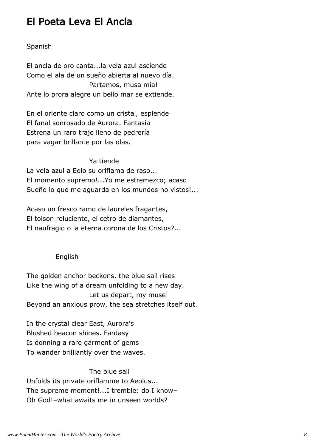### El Poeta Leva El Ancla

#### Spanish

El ancla de oro canta...la vela azul asciende Como el ala de un sueño abierta al nuevo día. Partamos, musa mía! Ante lo prora alegre un bello mar se extiende.

En el oriente claro como un cristal, esplende El fanal sonrosado de Aurora. Fantasía Estrena un raro traje lleno de pedrería para vagar brillante por las olas.

#### Ya tiende

La vela azul a Eolo su oriflama de raso... El momento supremo!...Yo me estremezco; acaso Sueño lo que me aguarda en los mundos no vistos!...

Acaso un fresco ramo de laureles fragantes, El toison reluciente, el cetro de diamantes, El naufragio o la eterna corona de los Cristos?...

#### English

The golden anchor beckons, the blue sail rises Like the wing of a dream unfolding to a new day. Let us depart, my muse! Beyond an anxious prow, the sea stretches itself out.

In the crystal clear East, Aurora's Blushed beacon shines. Fantasy Is donning a rare garment of gems To wander brilliantly over the waves.

#### The blue sail

Unfolds its private oriflamme to Aeolus... The supreme moment!...I tremble: do I know– Oh God!–what awaits me in unseen worlds?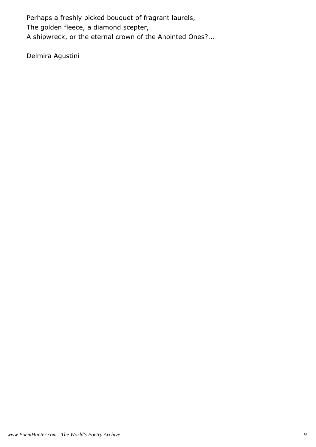Perhaps a freshly picked bouquet of fragrant laurels, The golden fleece, a diamond scepter, A shipwreck, or the eternal crown of the Anointed Ones?...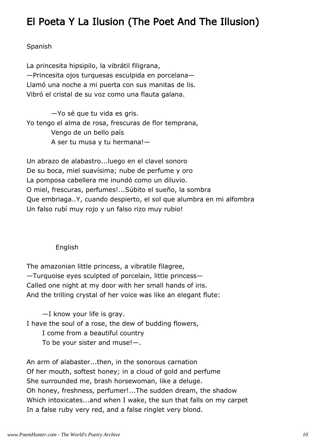### El Poeta Y La Ilusion (The Poet And The Illusion)

#### Spanish

La princesita hipsipilo, la vibrátil filigrana, —Princesita ojos turquesas esculpida en porcelana— Llamó una noche a mi puerta con sus manitas de lis. Vibró el cristal de su voz como una flauta galana.

 —Yo sé que tu vida es gris. Yo tengo el alma de rosa, frescuras de flor temprana, Vengo de un bello país A ser tu musa y tu hermana!—

Un abrazo de alabastro...luego en el clavel sonoro De su boca, miel suavísima; nube de perfume y oro La pomposa cabellera me inundó como un diluvio. O miel, frescuras, perfumes!...Súbito el sueño, la sombra Que embriaga..Y, cuando despierto, el sol que alumbra en mi alfombra Un falso rubí muy rojo y un falso rizo muy rubio!

#### English

The amazonian little princess, a vibratile filagree, —Turquoise eyes sculpted of porcelain, little princess— Called one night at my door with her small hands of iris. And the trilling crystal of her voice was like an elegant flute:

 —I know your life is gray. I have the soul of a rose, the dew of budding flowers, I come from a beautiful country To be your sister and muse!—.

An arm of alabaster...then, in the sonorous carnation Of her mouth, softest honey; in a cloud of gold and perfume She surrounded me, brash horsewoman, like a deluge. Oh honey, freshness, perfumer!...The sudden dream, the shadow Which intoxicates...and when I wake, the sun that falls on my carpet In a false ruby very red, and a false ringlet very blond.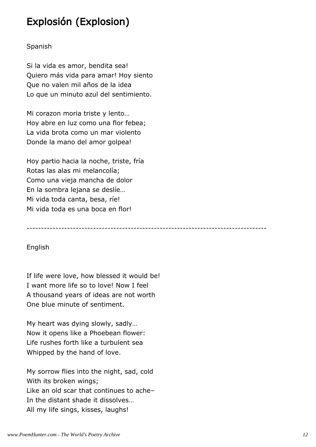### Explosión (Explosion)

#### Spanish

Si la vida es amor, bendita sea! Quiero más vida para amar! Hoy siento Que no valen mil años de la idea Lo que un minuto azul del sentimiento.

Mi corazon moria triste y lento… Hoy abre en luz como una flor febea; La vida brota como un mar violento Donde la mano del amor golpea!

Hoy partio hacia la noche, triste, fría Rotas las alas mi melancolía; Como una vieja mancha de dolor En la sombra lejana se deslíe… Mi vida toda canta, besa, ríe! Mi vida toda es una boca en flor!

-----------------------------------------------------------------------------------

#### English

If life were love, how blessed it would be! I want more life so to love! Now I feel A thousand years of ideas are not worth One blue minute of sentiment.

My heart was dying slowly, sadly… Now it opens like a Phoebean flower: Life rushes forth like a turbulent sea Whipped by the hand of love.

My sorrow flies into the night, sad, cold With its broken wings; Like an old scar that continues to ache– In the distant shade it dissolves… All my life sings, kisses, laughs!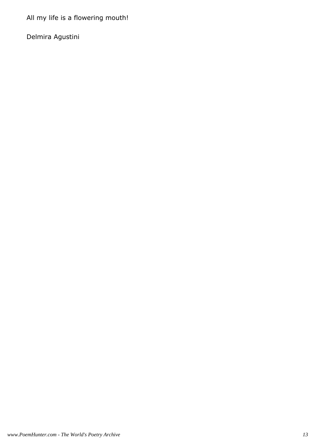All my life is a flowering mouth!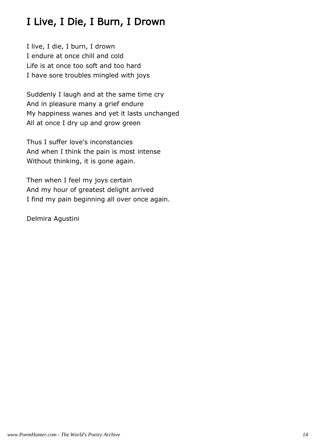# I Live, I Die, I Burn, I Drown

I live, I die, I burn, I drown I endure at once chill and cold Life is at once too soft and too hard I have sore troubles mingled with joys

Suddenly I laugh and at the same time cry And in pleasure many a grief endure My happiness wanes and yet it lasts unchanged All at once I dry up and grow green

Thus I suffer love's inconstancies And when I think the pain is most intense Without thinking, it is gone again.

Then when I feel my joys certain And my hour of greatest delight arrived I find my pain beginning all over once again.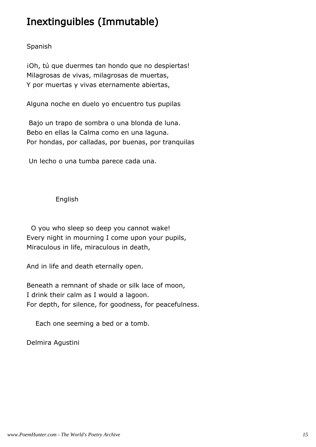# Inextinguibles (Immutable)

#### Spanish

iOh, tú que duermes tan hondo que no despiertas! Milagrosas de vivas, milagrosas de muertas, Y por muertas y vivas eternamente abiertas,

Alguna noche en duelo yo encuentro tus pupilas

 Bajo un trapo de sombra o una blonda de luna. Bebo en ellas la Calma como en una laguna. Por hondas, por calladas, por buenas, por tranquilas

Un lecho o una tumba parece cada una.

#### English

 O you who sleep so deep you cannot wake! Every night in mourning I come upon your pupils, Miraculous in life, miraculous in death,

And in life and death eternally open.

Beneath a remnant of shade or silk lace of moon, I drink their calm as I would a lagoon. For depth, for silence, for goodness, for peacefulness.

Each one seeming a bed or a tomb.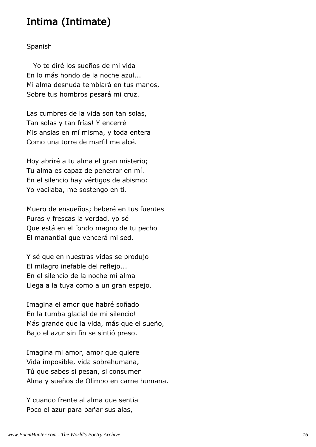### Intima (Intimate)

#### Spanish

 Yo te diré los sueños de mi vida En lo más hondo de la noche azul... Mi alma desnuda temblará en tus manos, Sobre tus hombros pesará mi cruz.

Las cumbres de la vida son tan solas, Tan solas y tan frías! Y encerré Mis ansias en mí misma, y toda entera Como una torre de marfil me alcé.

Hoy abriré a tu alma el gran misterio; Tu alma es capaz de penetrar en mí. En el silencio hay vértigos de abismo: Yo vacilaba, me sostengo en ti.

Muero de ensueños; beberé en tus fuentes Puras y frescas la verdad, yo sé Que está en el fondo magno de tu pecho El manantial que vencerá mi sed.

Y sé que en nuestras vidas se produjo El milagro inefable del reflejo... En el silencio de la noche mi alma Llega a la tuya como a un gran espejo.

Imagina el amor que habré soñado En la tumba glacial de mi silencio! Más grande que la vida, más que el sueño, Bajo el azur sin fin se sintió preso.

Imagina mi amor, amor que quiere Vida imposible, vida sobrehumana, Tú que sabes si pesan, si consumen Alma y sueños de Olimpo en carne humana.

Y cuando frente al alma que sentia Poco el azur para bañar sus alas,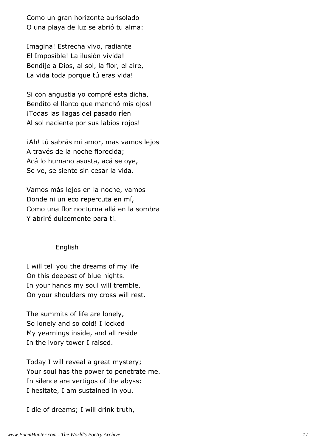Como un gran horizonte aurisolado O una playa de luz se abrió tu alma:

Imagina! Estrecha vivo, radiante El Imposible! La ilusión vivida! Bendije a Dios, al sol, la flor, el aire, La vida toda porque tú eras vida!

Si con angustia yo compré esta dicha, Bendito el llanto que manchó mis ojos! ¡Todas las llagas del pasado ríen Al sol naciente por sus labios rojos!

¡Ah! tú sabrás mi amor, mas vamos lejos A través de la noche florecida; Acá lo humano asusta, acá se oye, Se ve, se siente sin cesar la vida.

Vamos más lejos en la noche, vamos Donde ni un eco repercuta en mí, Como una flor nocturna allá en la sombra Y abriré dulcemente para ti.

#### English

I will tell you the dreams of my life On this deepest of blue nights. In your hands my soul will tremble, On your shoulders my cross will rest.

The summits of life are lonely, So lonely and so cold! I locked My yearnings inside, and all reside In the ivory tower I raised.

Today I will reveal a great mystery; Your soul has the power to penetrate me. In silence are vertigos of the abyss: I hesitate, I am sustained in you.

I die of dreams; I will drink truth,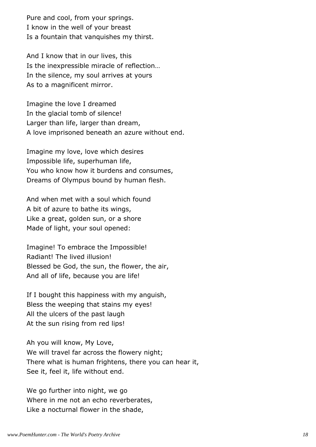Pure and cool, from your springs. I know in the well of your breast Is a fountain that vanquishes my thirst.

And I know that in our lives, this Is the inexpressible miracle of reflection… In the silence, my soul arrives at yours As to a magnificent mirror.

Imagine the love I dreamed In the glacial tomb of silence! Larger than life, larger than dream, A love imprisoned beneath an azure without end.

Imagine my love, love which desires Impossible life, superhuman life, You who know how it burdens and consumes, Dreams of Olympus bound by human flesh.

And when met with a soul which found A bit of azure to bathe its wings, Like a great, golden sun, or a shore Made of light, your soul opened:

Imagine! To embrace the Impossible! Radiant! The lived illusion! Blessed be God, the sun, the flower, the air, And all of life, because you are life!

If I bought this happiness with my anguish, Bless the weeping that stains my eyes! All the ulcers of the past laugh At the sun rising from red lips!

Ah you will know, My Love, We will travel far across the flowery night; There what is human frightens, there you can hear it, See it, feel it, life without end.

We go further into night, we go Where in me not an echo reverberates, Like a nocturnal flower in the shade,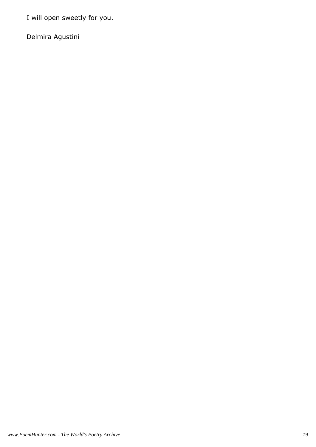I will open sweetly for you.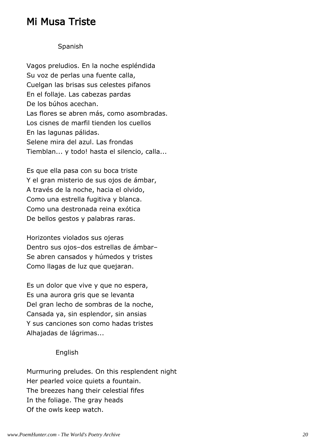### Mi Musa Triste

#### Spanish

Vagos preludios. En la noche espléndida Su voz de perlas una fuente calla, Cuelgan las brisas sus celestes pifanos En el follaje. Las cabezas pardas De los búhos acechan. Las flores se abren más, como asombradas. Los cisnes de marfil tienden los cuellos En las lagunas pálidas. Selene mira del azul. Las frondas Tiemblan... y todo! hasta el silencio, calla...

Es que ella pasa con su boca triste Y el gran misterio de sus ojos de ámbar, A través de la noche, hacia el olvido, Como una estrella fugitiva y blanca. Como una destronada reina exótica De bellos gestos y palabras raras.

Horizontes violados sus ojeras Dentro sus ojos–dos estrellas de ámbar– Se abren cansados y húmedos y tristes Como llagas de luz que quejaran.

Es un dolor que vive y que no espera, Es una aurora gris que se levanta Del gran lecho de sombras de la noche, Cansada ya, sin esplendor, sin ansias Y sus canciones son como hadas tristes Alhajadas de lágrimas...

#### English

Murmuring preludes. On this resplendent night Her pearled voice quiets a fountain. The breezes hang their celestial fifes In the foliage. The gray heads Of the owls keep watch.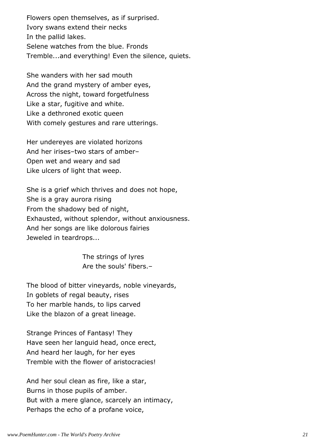Flowers open themselves, as if surprised. Ivory swans extend their necks In the pallid lakes. Selene watches from the blue. Fronds Tremble...and everything! Even the silence, quiets.

She wanders with her sad mouth And the grand mystery of amber eyes, Across the night, toward forgetfulness Like a star, fugitive and white. Like a dethroned exotic queen With comely gestures and rare utterings.

Her undereyes are violated horizons And her irises–two stars of amber– Open wet and weary and sad Like ulcers of light that weep.

She is a grief which thrives and does not hope, She is a gray aurora rising From the shadowy bed of night, Exhausted, without splendor, without anxiousness. And her songs are like dolorous fairies Jeweled in teardrops...

> The strings of lyres Are the souls' fibers.–

The blood of bitter vineyards, noble vineyards, In goblets of regal beauty, rises To her marble hands, to lips carved Like the blazon of a great lineage.

Strange Princes of Fantasy! They Have seen her languid head, once erect, And heard her laugh, for her eyes Tremble with the flower of aristocracies!

And her soul clean as fire, like a star, Burns in those pupils of amber. But with a mere glance, scarcely an intimacy, Perhaps the echo of a profane voice,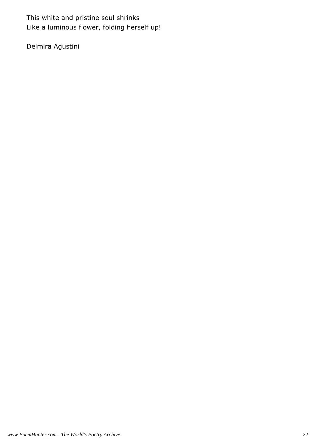This white and pristine soul shrinks Like a luminous flower, folding herself up!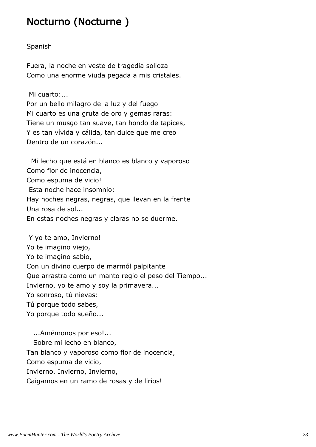### Nocturno (Nocturne )

#### Spanish

Fuera, la noche en veste de tragedia solloza Como una enorme viuda pegada a mis cristales.

Mi cuarto:...

Por un bello milagro de la luz y del fuego Mi cuarto es una gruta de oro y gemas raras: Tiene un musgo tan suave, tan hondo de tapices, Y es tan vívida y cálida, tan dulce que me creo Dentro de un corazón...

 Mi lecho que está en blanco es blanco y vaporoso Como flor de inocencia, Como espuma de vicio! Esta noche hace insomnio; Hay noches negras, negras, que llevan en la frente Una rosa de sol... En estas noches negras y claras no se duerme.

 Y yo te amo, Invierno! Yo te imagino viejo, Yo te imagino sabio, Con un divino cuerpo de marmól palpitante Que arrastra como un manto regio el peso del Tiempo... Invierno, yo te amo y soy la primavera... Yo sonroso, tú nievas: Tú porque todo sabes, Yo porque todo sueño... ...Amémonos por eso!... Sobre mi lecho en blanco,

Tan blanco y vaporoso como flor de inocencia,

Como espuma de vicio,

Invierno, Invierno, Invierno,

Caigamos en un ramo de rosas y de lirios!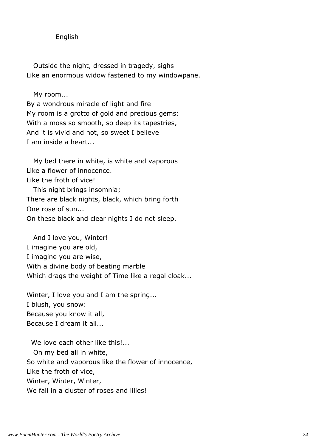English

 Outside the night, dressed in tragedy, sighs Like an enormous widow fastened to my windowpane.

My room...

By a wondrous miracle of light and fire My room is a grotto of gold and precious gems: With a moss so smooth, so deep its tapestries, And it is vivid and hot, so sweet I believe I am inside a heart...

 My bed there in white, is white and vaporous Like a flower of innocence. Like the froth of vice! This night brings insomnia; There are black nights, black, which bring forth One rose of sun... On these black and clear nights I do not sleep.

 And I love you, Winter! I imagine you are old, I imagine you are wise, With a divine body of beating marble Which drags the weight of Time like a regal cloak...

Winter, I love you and I am the spring... I blush, you snow: Because you know it all, Because I dream it all...

We love each other like this!... On my bed all in white, So white and vaporous like the flower of innocence, Like the froth of vice, Winter, Winter, Winter, We fall in a cluster of roses and lilies!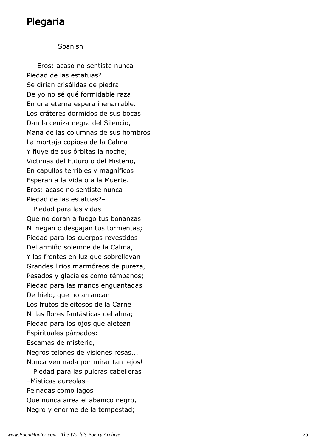### Plegaria

#### Spanish

 –Eros: acaso no sentiste nunca Piedad de las estatuas? Se dirían crisálidas de piedra De yo no sé qué formidable raza En una eterna espera inenarrable. Los cráteres dormidos de sus bocas Dan la ceniza negra del Silencio, Mana de las columnas de sus hombros La mortaja copiosa de la Calma Y fluye de sus órbitas la noche; Victimas del Futuro o del Misterio, En capullos terribles y magníficos Esperan a la Vida o a la Muerte. Eros: acaso no sentiste nunca Piedad de las estatuas?–

 Piedad para las vidas Que no doran a fuego tus bonanzas Ni riegan o desgajan tus tormentas; Piedad para los cuerpos revestidos Del armiño solemne de la Calma, Y las frentes en luz que sobrellevan Grandes lirios marmóreos de pureza, Pesados y glaciales como témpanos; Piedad para las manos enguantadas De hielo, que no arrancan Los frutos deleitosos de la Carne Ni las flores fantásticas del alma; Piedad para los ojos que aletean Espirituales párpados: Escamas de misterio, Negros telones de visiones rosas... Nunca ven nada por mirar tan lejos! Piedad para las pulcras cabelleras –Misticas aureolas– Peinadas como lagos Que nunca airea el abanico negro, Negro y enorme de la tempestad;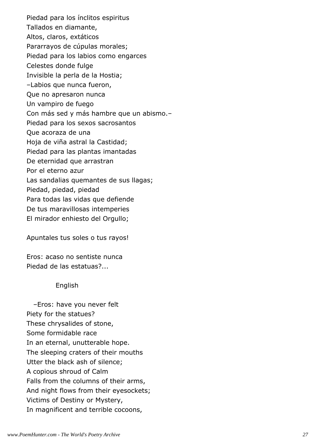Piedad para los ínclitos espiritus Tallados en diamante, Altos, claros, extáticos Pararrayos de cúpulas morales; Piedad para los labios como engarces Celestes donde fulge Invisible la perla de la Hostia; –Labios que nunca fueron, Que no apresaron nunca Un vampiro de fuego Con más sed y más hambre que un abismo.– Piedad para los sexos sacrosantos Que acoraza de una Hoja de viña astral la Castidad; Piedad para las plantas imantadas De eternidad que arrastran Por el eterno azur Las sandalias quemantes de sus llagas; Piedad, piedad, piedad Para todas las vidas que defiende De tus maravillosas intemperies El mirador enhiesto del Orgullo;

Apuntales tus soles o tus rayos!

Eros: acaso no sentiste nunca Piedad de las estatuas?...

#### English

 –Eros: have you never felt Piety for the statues? These chrysalides of stone, Some formidable race In an eternal, unutterable hope. The sleeping craters of their mouths Utter the black ash of silence; A copious shroud of Calm Falls from the columns of their arms, And night flows from their eyesockets; Victims of Destiny or Mystery, In magnificent and terrible cocoons,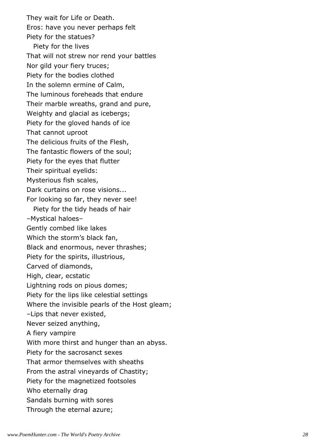They wait for Life or Death. Eros: have you never perhaps felt Piety for the statues? Piety for the lives That will not strew nor rend your battles Nor gild your fiery truces; Piety for the bodies clothed In the solemn ermine of Calm, The luminous foreheads that endure Their marble wreaths, grand and pure, Weighty and glacial as icebergs; Piety for the gloved hands of ice That cannot uproot The delicious fruits of the Flesh, The fantastic flowers of the soul; Piety for the eyes that flutter Their spiritual eyelids: Mysterious fish scales, Dark curtains on rose visions... For looking so far, they never see! Piety for the tidy heads of hair –Mystical haloes– Gently combed like lakes Which the storm's black fan, Black and enormous, never thrashes; Piety for the spirits, illustrious, Carved of diamonds, High, clear, ecstatic Lightning rods on pious domes; Piety for the lips like celestial settings Where the invisible pearls of the Host gleam; –Lips that never existed, Never seized anything, A fiery vampire With more thirst and hunger than an abyss. Piety for the sacrosanct sexes That armor themselves with sheaths From the astral vineyards of Chastity; Piety for the magnetized footsoles Who eternally drag Sandals burning with sores Through the eternal azure;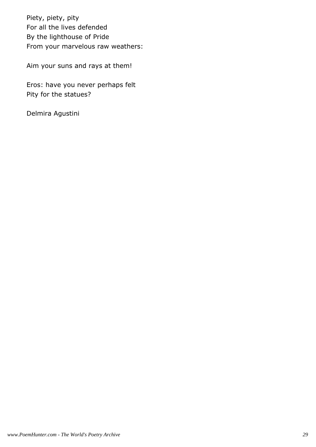Piety, piety, pity For all the lives defended By the lighthouse of Pride From your marvelous raw weathers:

Aim your suns and rays at them!

Eros: have you never perhaps felt Pity for the statues?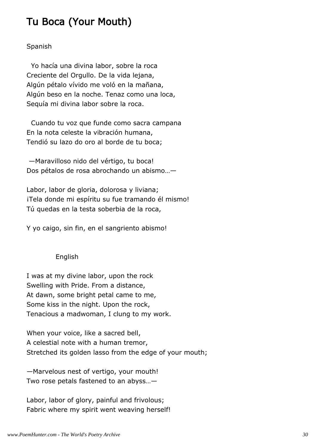### Tu Boca (Your Mouth)

#### Spanish

 Yo hacía una divina labor, sobre la roca Creciente del Orgullo. De la vida lejana, Algún pétalo vívido me voló en la mañana, Algún beso en la noche. Tenaz como una loca, Sequía mi divina labor sobre la roca.

 Cuando tu voz que funde como sacra campana En la nota celeste la vibración humana, Tendió su lazo do oro al borde de tu boca;

 —Maravilloso nido del vértigo, tu boca! Dos pétalos de rosa abrochando un abismo…—

Labor, labor de gloria, dolorosa y liviana; iTela donde mi espíritu su fue tramando él mismo! Tú quedas en la testa soberbia de la roca,

Y yo caigo, sin fin, en el sangriento abismo!

#### English

I was at my divine labor, upon the rock Swelling with Pride. From a distance, At dawn, some bright petal came to me, Some kiss in the night. Upon the rock, Tenacious a madwoman, I clung to my work.

When your voice, like a sacred bell, A celestial note with a human tremor, Stretched its golden lasso from the edge of your mouth;

—Marvelous nest of vertigo, your mouth! Two rose petals fastened to an abyss…—

Labor, labor of glory, painful and frivolous; Fabric where my spirit went weaving herself!